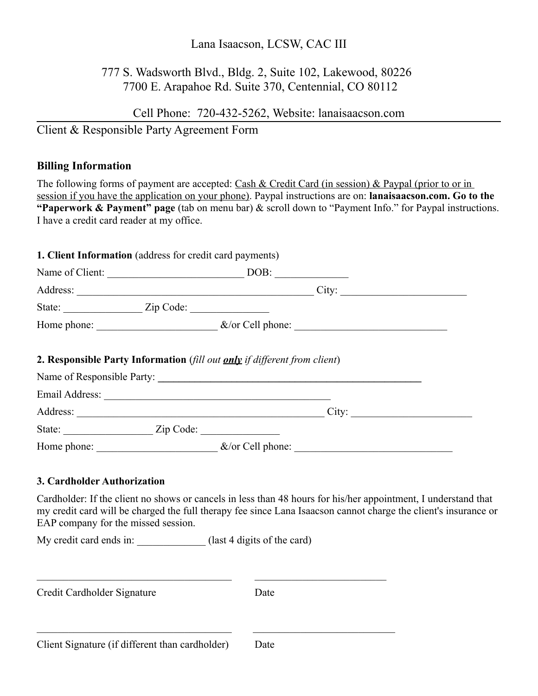### Lana Isaacson, LCSW, CAC III

# 777 S. Wadsworth Blvd., Bldg. 2, Suite 102, Lakewood, 80226 7700 E. Arapahoe Rd. Suite 370, Centennial, CO 80112

Cell Phone: 720-432-5262, Website: lanaisaacson.com

Client & Responsible Party Agreement Form

### **Billing Information**

The following forms of payment are accepted: Cash & Credit Card (in session) & Paypal (prior to or in session if you have the application on your phone). Paypal instructions are on: **lanaisaacson.com. Go to the "Paperwork & Payment" page** (tab on menu bar) & scroll down to "Payment Info." for Paypal instructions. I have a credit card reader at my office.

#### **1. Client Information** (address for credit card payments)

State: \_\_\_\_\_\_\_\_\_\_\_\_\_\_\_\_\_ Zip Code: \_\_\_\_\_\_\_\_\_\_\_\_\_\_\_

| Name of Client:                                                           | DOB:                                                                                                                                                                                                                                 |  |
|---------------------------------------------------------------------------|--------------------------------------------------------------------------------------------------------------------------------------------------------------------------------------------------------------------------------------|--|
| Address:                                                                  | City:                                                                                                                                                                                                                                |  |
|                                                                           |                                                                                                                                                                                                                                      |  |
|                                                                           | Home phone: <u>example and the set of the set of the set of the set of the set of the set of the set of the set of the set of the set of the set of the set of the set of the set of the set of the set of the set of the set of</u> |  |
| 2. Responsible Party Information (fill out only if different from client) |                                                                                                                                                                                                                                      |  |
|                                                                           |                                                                                                                                                                                                                                      |  |
|                                                                           |                                                                                                                                                                                                                                      |  |
| Email Address: <u>and a communities</u>                                   |                                                                                                                                                                                                                                      |  |
| Address:                                                                  | City:                                                                                                                                                                                                                                |  |

Home phone: \_\_\_\_\_\_\_\_\_\_\_\_\_\_\_\_\_\_\_\_\_\_\_ &/or Cell phone: \_\_\_\_\_\_\_\_\_\_\_\_\_\_\_\_\_\_\_\_\_\_\_\_\_\_\_\_\_\_

### **3. Cardholder Authorization**

Cardholder: If the client no shows or cancels in less than 48 hours for his/her appointment, I understand that my credit card will be charged the full therapy fee since Lana Isaacson cannot charge the client's insurance or EAP company for the missed session.

My credit card ends in: \_\_\_\_\_\_\_\_\_\_\_\_\_ (last 4 digits of the card)

| Credit Cardholder Signature                     | Date |  |
|-------------------------------------------------|------|--|
|                                                 |      |  |
| Client Signature (if different than cardholder) | Date |  |